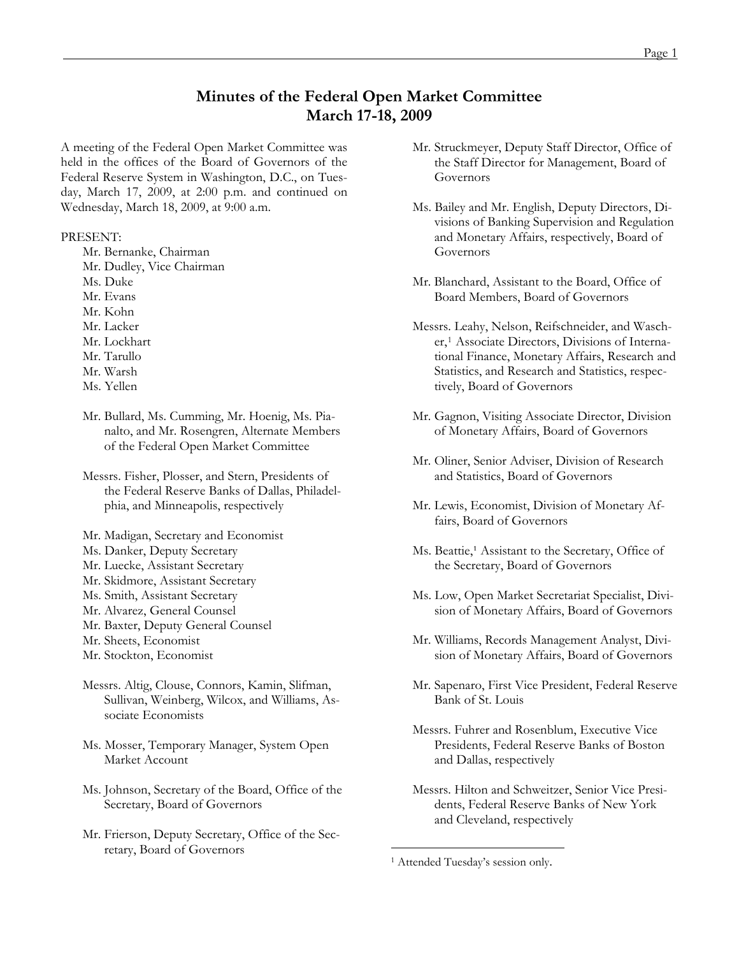# **Minutes of the Federal Open Market Committee March 17-18, 2009**

A meeting of the Federal Open Market Committee was held in the offices of the Board of Governors of the Federal Reserve System in Washington, D.C., on Tuesday, March 17, 2009, at 2:00 p.m. and continued on Wednesday, March 18, 2009, at 9:00 a.m.

#### PRESENT:

- Mr. Bernanke, Chairman
- Mr. Dudley, Vice Chairman

Ms. Duke

- Mr. Evans
- Mr. Kohn
- Mr. Lacker
- Mr. Lockhart
- Mr. Tarullo
- Mr. Warsh
- Ms. Yellen
- Mr. Bullard, Ms. Cumming, Mr. Hoenig, Ms. Pianalto, and Mr. Rosengren, Alternate Members of the Federal Open Market Committee

Messrs. Fisher, Plosser, and Stern, Presidents of the Federal Reserve Banks of Dallas, Philadelphia, and Minneapolis, respectively

- Mr. Madigan, Secretary and Economist
- Ms. Danker, Deputy Secretary
- Mr. Luecke, Assistant Secretary
- Mr. Skidmore, Assistant Secretary
- Ms. Smith, Assistant Secretary
- Mr. Alvarez, General Counsel
- Mr. Baxter, Deputy General Counsel
- Mr. Sheets, Economist
- Mr. Stockton, Economist
- Messrs. Altig, Clouse, Connors, Kamin, Slifman, Sullivan, Weinberg, Wilcox, and Williams, Associate Economists
- Ms. Mosser, Temporary Manager, System Open Market Account
- Ms. Johnson, Secretary of the Board, Office of the Secretary, Board of Governors
- <span id="page-0-0"></span>Mr. Frierson, Deputy Secretary, Office of the Secretary, Board of Governors
- Mr. Struckmeyer, Deputy Staff Director, Office of the Staff Director for Management, Board of Governors
- Ms. Bailey and Mr. English, Deputy Directors, Divisions of Banking Supervision and Regulation and Monetary Affairs, respectively, Board of Governors
- Mr. Blanchard, Assistant to the Board, Office of Board Members, Board of Governors
- Messrs. Leahy, Nelson, Reifschneider, and Wascher,[1](#page-0-0) Associate Directors, Divisions of International Finance, Monetary Affairs, Research and Statistics, and Research and Statistics, respectively, Board of Governors
- Mr. Gagnon, Visiting Associate Director, Division of Monetary Affairs, Board of Governors
- Mr. Oliner, Senior Adviser, Division of Research and Statistics, Board of Governors
- Mr. Lewis, Economist, Division of Monetary Affairs, Board of Governors
- Ms. Beattie,<sup>1</sup> Assistant to the Secretary, Office of the Secretary, Board of Governors
- Ms. Low, Open Market Secretariat Specialist, Division of Monetary Affairs, Board of Governors
- Mr. Williams, Records Management Analyst, Division of Monetary Affairs, Board of Governors
- Mr. Sapenaro, First Vice President, Federal Reserve Bank of St. Louis
- Messrs. Fuhrer and Rosenblum, Executive Vice Presidents, Federal Reserve Banks of Boston and Dallas, respectively
- Messrs. Hilton and Schweitzer, Senior Vice Presidents, Federal Reserve Banks of New York and Cleveland, respectively

 $\overline{a}$ 

<sup>&</sup>lt;sup>1</sup> Attended Tuesday's session only.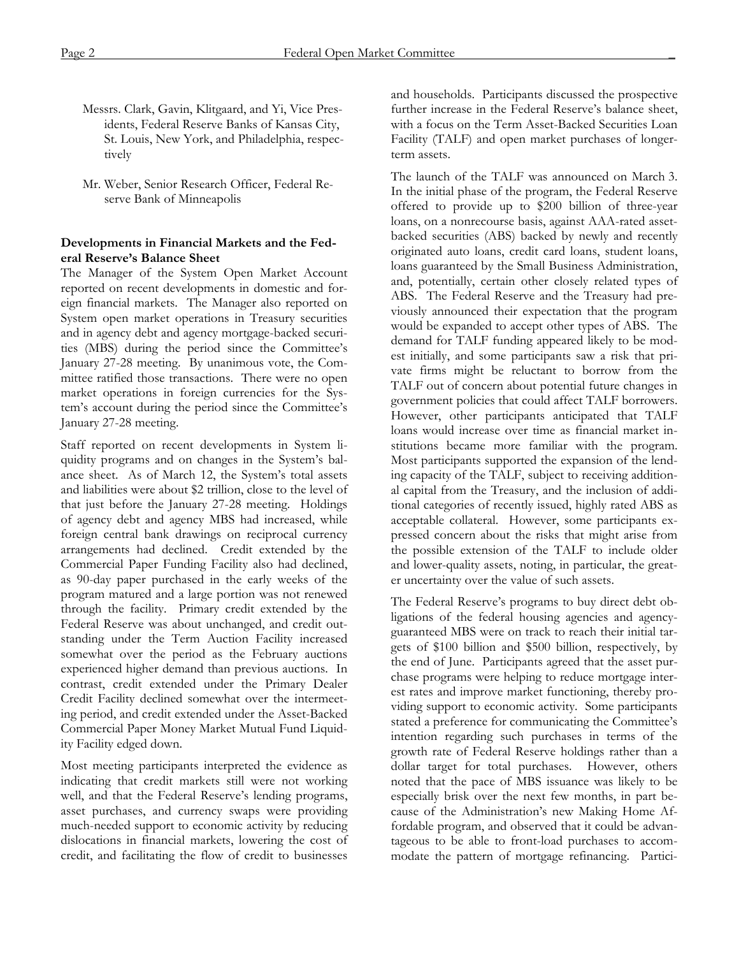- Messrs. Clark, Gavin, Klitgaard, and Yi, Vice Presidents, Federal Reserve Banks of Kansas City, St. Louis, New York, and Philadelphia, respectively
- Mr. Weber, Senior Research Officer, Federal Reserve Bank of Minneapolis

## **Developments in Financial Markets and the Federal Reserve's Balance Sheet**

The Manager of the System Open Market Account reported on recent developments in domestic and foreign financial markets. The Manager also reported on System open market operations in Treasury securities and in agency debt and agency mortgage-backed securities (MBS) during the period since the Committee's January 27-28 meeting. By unanimous vote, the Committee ratified those transactions. There were no open market operations in foreign currencies for the System's account during the period since the Committee's January 27-28 meeting.

Staff reported on recent developments in System liquidity programs and on changes in the System's balance sheet. As of March 12, the System's total assets and liabilities were about \$2 trillion, close to the level of that just before the January 27-28 meeting. Holdings of agency debt and agency MBS had increased, while foreign central bank drawings on reciprocal currency arrangements had declined. Credit extended by the Commercial Paper Funding Facility also had declined, as 90-day paper purchased in the early weeks of the program matured and a large portion was not renewed through the facility. Primary credit extended by the Federal Reserve was about unchanged, and credit outstanding under the Term Auction Facility increased somewhat over the period as the February auctions experienced higher demand than previous auctions. In contrast, credit extended under the Primary Dealer Credit Facility declined somewhat over the intermeeting period, and credit extended under the Asset-Backed Commercial Paper Money Market Mutual Fund Liquidity Facility edged down.

Most meeting participants interpreted the evidence as indicating that credit markets still were not working well, and that the Federal Reserve's lending programs, asset purchases, and currency swaps were providing much-needed support to economic activity by reducing dislocations in financial markets, lowering the cost of credit, and facilitating the flow of credit to businesses and households. Participants discussed the prospective further increase in the Federal Reserve's balance sheet, with a focus on the Term Asset-Backed Securities Loan Facility (TALF) and open market purchases of longerterm assets.

The launch of the TALF was announced on March 3. In the initial phase of the program, the Federal Reserve offered to provide up to \$200 billion of three-year loans, on a nonrecourse basis, against AAA-rated assetbacked securities (ABS) backed by newly and recently originated auto loans, credit card loans, student loans, loans guaranteed by the Small Business Administration, and, potentially, certain other closely related types of ABS. The Federal Reserve and the Treasury had previously announced their expectation that the program would be expanded to accept other types of ABS. The demand for TALF funding appeared likely to be modest initially, and some participants saw a risk that private firms might be reluctant to borrow from the TALF out of concern about potential future changes in government policies that could affect TALF borrowers. However, other participants anticipated that TALF loans would increase over time as financial market institutions became more familiar with the program. Most participants supported the expansion of the lending capacity of the TALF, subject to receiving additional capital from the Treasury, and the inclusion of additional categories of recently issued, highly rated ABS as acceptable collateral. However, some participants expressed concern about the risks that might arise from the possible extension of the TALF to include older and lower-quality assets, noting, in particular, the greater uncertainty over the value of such assets.

The Federal Reserve's programs to buy direct debt obligations of the federal housing agencies and agencyguaranteed MBS were on track to reach their initial targets of \$100 billion and \$500 billion, respectively, by the end of June. Participants agreed that the asset purchase programs were helping to reduce mortgage interest rates and improve market functioning, thereby providing support to economic activity. Some participants stated a preference for communicating the Committee's intention regarding such purchases in terms of the growth rate of Federal Reserve holdings rather than a dollar target for total purchases. However, others noted that the pace of MBS issuance was likely to be especially brisk over the next few months, in part because of the Administration's new Making Home Affordable program, and observed that it could be advantageous to be able to front-load purchases to accommodate the pattern of mortgage refinancing. Partici-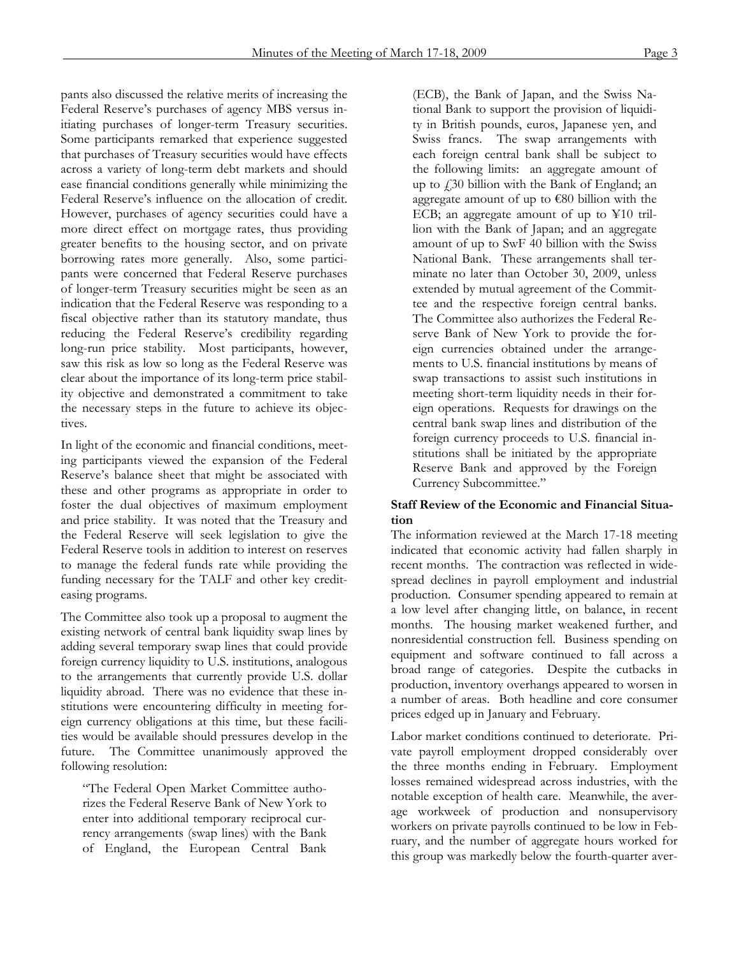pants also discussed the relative merits of increasing the Federal Reserve's purchases of agency MBS versus initiating purchases of longer-term Treasury securities. Some participants remarked that experience suggested that purchases of Treasury securities would have effects across a variety of long-term debt markets and should ease financial conditions generally while minimizing the Federal Reserve's influence on the allocation of credit. However, purchases of agency securities could have a more direct effect on mortgage rates, thus providing greater benefits to the housing sector, and on private borrowing rates more generally. Also, some participants were concerned that Federal Reserve purchases of longer-term Treasury securities might be seen as an indication that the Federal Reserve was responding to a fiscal objective rather than its statutory mandate, thus reducing the Federal Reserve's credibility regarding long-run price stability. Most participants, however, saw this risk as low so long as the Federal Reserve was clear about the importance of its long-term price stability objective and demonstrated a commitment to take the necessary steps in the future to achieve its objectives.

In light of the economic and financial conditions, meeting participants viewed the expansion of the Federal Reserve's balance sheet that might be associated with these and other programs as appropriate in order to foster the dual objectives of maximum employment and price stability. It was noted that the Treasury and the Federal Reserve will seek legislation to give the Federal Reserve tools in addition to interest on reserves to manage the federal funds rate while providing the funding necessary for the TALF and other key crediteasing programs.

The Committee also took up a proposal to augment the existing network of central bank liquidity swap lines by adding several temporary swap lines that could provide foreign currency liquidity to U.S. institutions, analogous to the arrangements that currently provide U.S. dollar liquidity abroad. There was no evidence that these institutions were encountering difficulty in meeting foreign currency obligations at this time, but these facilities would be available should pressures develop in the future. The Committee unanimously approved the following resolution:

"The Federal Open Market Committee authorizes the Federal Reserve Bank of New York to enter into additional temporary reciprocal currency arrangements (swap lines) with the Bank of England, the European Central Bank

(ECB), the Bank of Japan, and the Swiss National Bank to support the provision of liquidity in British pounds, euros, Japanese yen, and Swiss francs. The swap arrangements with each foreign central bank shall be subject to the following limits: an aggregate amount of up to £30 billion with the Bank of England; an aggregate amount of up to €80 billion with the ECB; an aggregate amount of up to ¥10 trillion with the Bank of Japan; and an aggregate amount of up to SwF 40 billion with the Swiss National Bank. These arrangements shall terminate no later than October 30, 2009, unless extended by mutual agreement of the Committee and the respective foreign central banks. The Committee also authorizes the Federal Reserve Bank of New York to provide the foreign currencies obtained under the arrangements to U.S. financial institutions by means of swap transactions to assist such institutions in meeting short-term liquidity needs in their foreign operations. Requests for drawings on the central bank swap lines and distribution of the foreign currency proceeds to U.S. financial institutions shall be initiated by the appropriate Reserve Bank and approved by the Foreign Currency Subcommittee."

## **Staff Review of the Economic and Financial Situation**

The information reviewed at the March 17-18 meeting indicated that economic activity had fallen sharply in recent months. The contraction was reflected in widespread declines in payroll employment and industrial production. Consumer spending appeared to remain at a low level after changing little, on balance, in recent months. The housing market weakened further, and nonresidential construction fell. Business spending on equipment and software continued to fall across a broad range of categories. Despite the cutbacks in production, inventory overhangs appeared to worsen in a number of areas. Both headline and core consumer prices edged up in January and February.

Labor market conditions continued to deteriorate. Private payroll employment dropped considerably over the three months ending in February. Employment losses remained widespread across industries, with the notable exception of health care. Meanwhile, the average workweek of production and nonsupervisory workers on private payrolls continued to be low in February, and the number of aggregate hours worked for this group was markedly below the fourth-quarter aver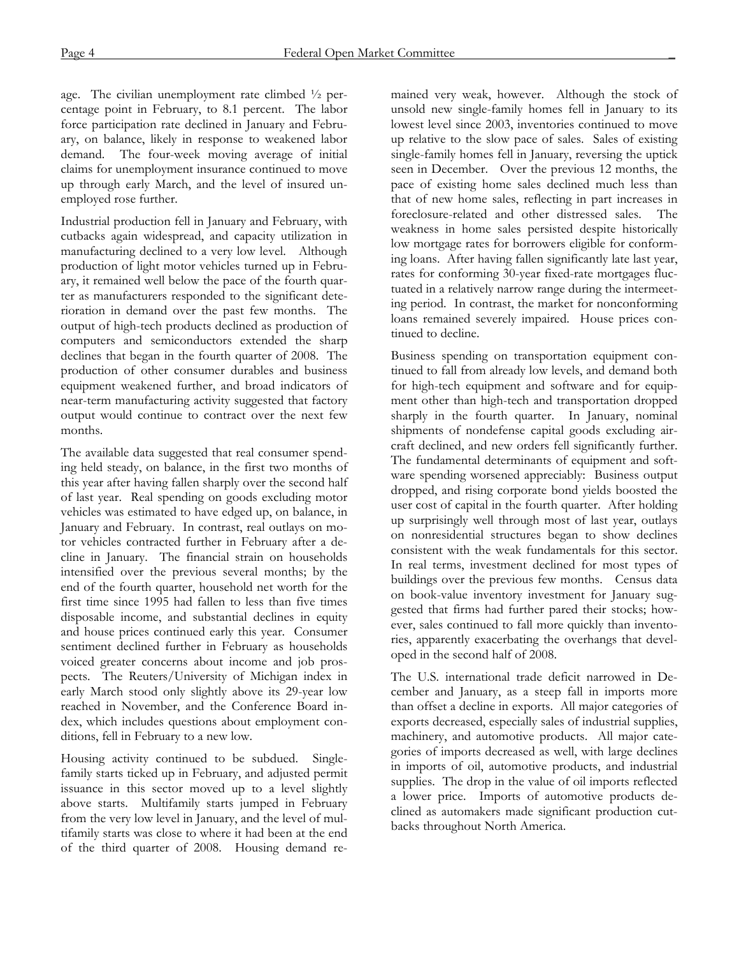age. The civilian unemployment rate climbed  $\frac{1}{2}$  percentage point in February, to 8.1 percent. The labor force participation rate declined in January and February, on balance, likely in response to weakened labor demand. The four-week moving average of initial claims for unemployment insurance continued to move up through early March, and the level of insured unemployed rose further.

Industrial production fell in January and February, with cutbacks again widespread, and capacity utilization in manufacturing declined to a very low level. Although production of light motor vehicles turned up in February, it remained well below the pace of the fourth quarter as manufacturers responded to the significant deterioration in demand over the past few months. The output of high-tech products declined as production of computers and semiconductors extended the sharp declines that began in the fourth quarter of 2008. The production of other consumer durables and business equipment weakened further, and broad indicators of near-term manufacturing activity suggested that factory output would continue to contract over the next few months.

The available data suggested that real consumer spending held steady, on balance, in the first two months of this year after having fallen sharply over the second half of last year. Real spending on goods excluding motor vehicles was estimated to have edged up, on balance, in January and February. In contrast, real outlays on motor vehicles contracted further in February after a decline in January. The financial strain on households intensified over the previous several months; by the end of the fourth quarter, household net worth for the first time since 1995 had fallen to less than five times disposable income, and substantial declines in equity and house prices continued early this year. Consumer sentiment declined further in February as households voiced greater concerns about income and job prospects. The Reuters/University of Michigan index in early March stood only slightly above its 29-year low reached in November, and the Conference Board index, which includes questions about employment conditions, fell in February to a new low.

Housing activity continued to be subdued. Singlefamily starts ticked up in February, and adjusted permit issuance in this sector moved up to a level slightly above starts. Multifamily starts jumped in February from the very low level in January, and the level of multifamily starts was close to where it had been at the end of the third quarter of 2008. Housing demand re-

mained very weak, however. Although the stock of unsold new single-family homes fell in January to its lowest level since 2003, inventories continued to move up relative to the slow pace of sales. Sales of existing single-family homes fell in January, reversing the uptick seen in December. Over the previous 12 months, the pace of existing home sales declined much less than that of new home sales, reflecting in part increases in foreclosure-related and other distressed sales. The weakness in home sales persisted despite historically low mortgage rates for borrowers eligible for conforming loans. After having fallen significantly late last year, rates for conforming 30-year fixed-rate mortgages fluctuated in a relatively narrow range during the intermeeting period. In contrast, the market for nonconforming loans remained severely impaired. House prices continued to decline.

Business spending on transportation equipment continued to fall from already low levels, and demand both for high-tech equipment and software and for equipment other than high-tech and transportation dropped sharply in the fourth quarter. In January, nominal shipments of nondefense capital goods excluding aircraft declined, and new orders fell significantly further. The fundamental determinants of equipment and software spending worsened appreciably: Business output dropped, and rising corporate bond yields boosted the user cost of capital in the fourth quarter. After holding up surprisingly well through most of last year, outlays on nonresidential structures began to show declines consistent with the weak fundamentals for this sector. In real terms, investment declined for most types of buildings over the previous few months. Census data on book-value inventory investment for January suggested that firms had further pared their stocks; however, sales continued to fall more quickly than inventories, apparently exacerbating the overhangs that developed in the second half of 2008.

The U.S. international trade deficit narrowed in December and January, as a steep fall in imports more than offset a decline in exports. All major categories of exports decreased, especially sales of industrial supplies, machinery, and automotive products. All major categories of imports decreased as well, with large declines in imports of oil, automotive products, and industrial supplies. The drop in the value of oil imports reflected a lower price. Imports of automotive products declined as automakers made significant production cutbacks throughout North America.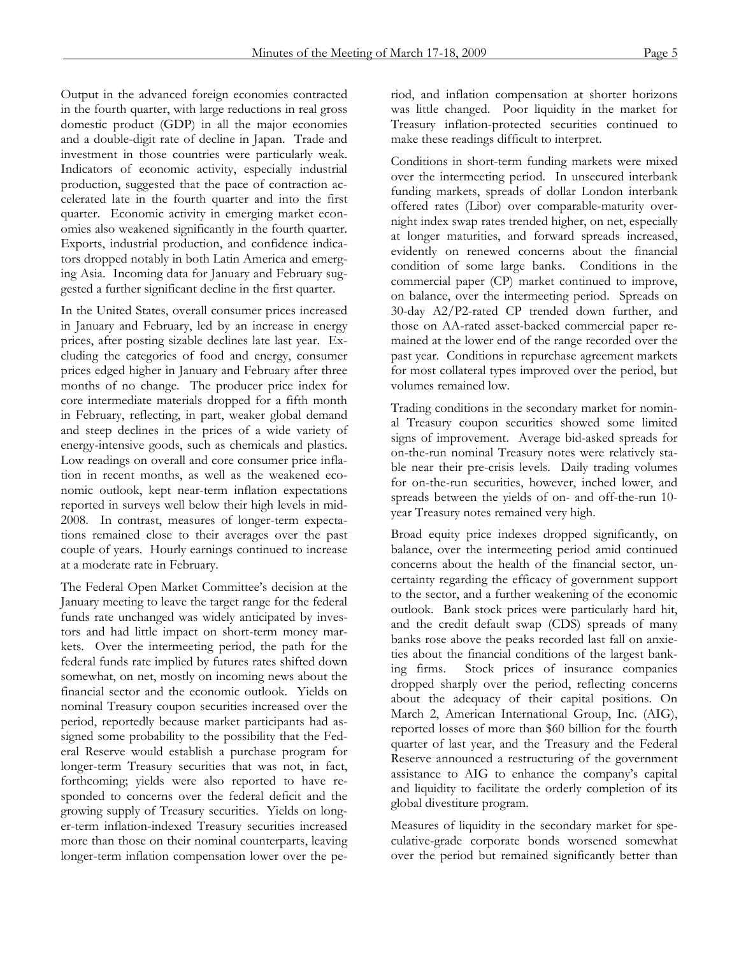Output in the advanced foreign economies contracted in the fourth quarter, with large reductions in real gross domestic product (GDP) in all the major economies and a double-digit rate of decline in Japan. Trade and investment in those countries were particularly weak. Indicators of economic activity, especially industrial production, suggested that the pace of contraction accelerated late in the fourth quarter and into the first quarter. Economic activity in emerging market economies also weakened significantly in the fourth quarter. Exports, industrial production, and confidence indicators dropped notably in both Latin America and emerging Asia. Incoming data for January and February suggested a further significant decline in the first quarter.

In the United States, overall consumer prices increased in January and February, led by an increase in energy prices, after posting sizable declines late last year. Excluding the categories of food and energy, consumer prices edged higher in January and February after three months of no change. The producer price index for core intermediate materials dropped for a fifth month in February, reflecting, in part, weaker global demand and steep declines in the prices of a wide variety of energy-intensive goods, such as chemicals and plastics. Low readings on overall and core consumer price inflation in recent months, as well as the weakened economic outlook, kept near-term inflation expectations reported in surveys well below their high levels in mid-2008. In contrast, measures of longer-term expectations remained close to their averages over the past couple of years. Hourly earnings continued to increase at a moderate rate in February.

The Federal Open Market Committee's decision at the January meeting to leave the target range for the federal funds rate unchanged was widely anticipated by investors and had little impact on short-term money markets. Over the intermeeting period, the path for the federal funds rate implied by futures rates shifted down somewhat, on net, mostly on incoming news about the financial sector and the economic outlook. Yields on nominal Treasury coupon securities increased over the period, reportedly because market participants had assigned some probability to the possibility that the Federal Reserve would establish a purchase program for longer-term Treasury securities that was not, in fact, forthcoming; yields were also reported to have responded to concerns over the federal deficit and the growing supply of Treasury securities. Yields on longer-term inflation-indexed Treasury securities increased more than those on their nominal counterparts, leaving longer-term inflation compensation lower over the pe-

riod, and inflation compensation at shorter horizons was little changed. Poor liquidity in the market for Treasury inflation-protected securities continued to make these readings difficult to interpret.

Conditions in short-term funding markets were mixed over the intermeeting period. In unsecured interbank funding markets, spreads of dollar London interbank offered rates (Libor) over comparable-maturity overnight index swap rates trended higher, on net, especially at longer maturities, and forward spreads increased, evidently on renewed concerns about the financial condition of some large banks. Conditions in the commercial paper (CP) market continued to improve, on balance, over the intermeeting period. Spreads on 30-day A2/P2-rated CP trended down further, and those on AA-rated asset-backed commercial paper remained at the lower end of the range recorded over the past year. Conditions in repurchase agreement markets for most collateral types improved over the period, but volumes remained low.

Trading conditions in the secondary market for nominal Treasury coupon securities showed some limited signs of improvement. Average bid-asked spreads for on-the-run nominal Treasury notes were relatively stable near their pre-crisis levels. Daily trading volumes for on-the-run securities, however, inched lower, and spreads between the yields of on- and off-the-run 10 year Treasury notes remained very high.

Broad equity price indexes dropped significantly, on balance, over the intermeeting period amid continued concerns about the health of the financial sector, uncertainty regarding the efficacy of government support to the sector, and a further weakening of the economic outlook. Bank stock prices were particularly hard hit, and the credit default swap (CDS) spreads of many banks rose above the peaks recorded last fall on anxieties about the financial conditions of the largest banking firms. Stock prices of insurance companies dropped sharply over the period, reflecting concerns about the adequacy of their capital positions. On March 2, American International Group, Inc. (AIG), reported losses of more than \$60 billion for the fourth quarter of last year, and the Treasury and the Federal Reserve announced a restructuring of the government assistance to AIG to enhance the company's capital and liquidity to facilitate the orderly completion of its global divestiture program.

Measures of liquidity in the secondary market for speculative-grade corporate bonds worsened somewhat over the period but remained significantly better than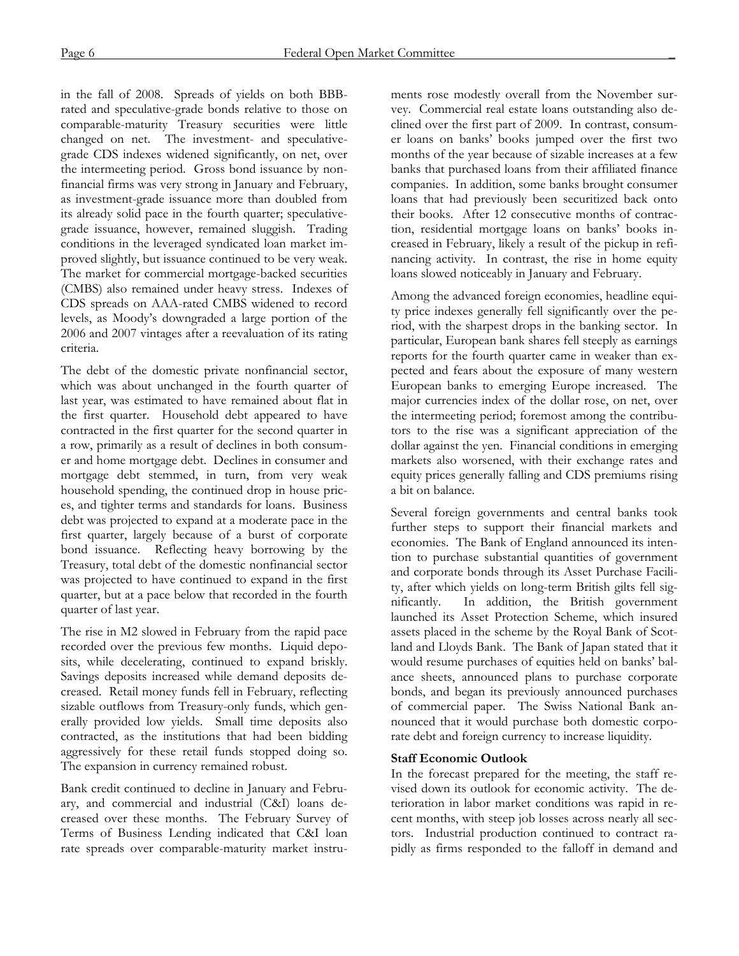in the fall of 2008. Spreads of yields on both BBBrated and speculative-grade bonds relative to those on comparable-maturity Treasury securities were little changed on net. The investment- and speculativegrade CDS indexes widened significantly, on net, over the intermeeting period. Gross bond issuance by nonfinancial firms was very strong in January and February, as investment-grade issuance more than doubled from its already solid pace in the fourth quarter; speculativegrade issuance, however, remained sluggish. Trading conditions in the leveraged syndicated loan market improved slightly, but issuance continued to be very weak. The market for commercial mortgage-backed securities (CMBS) also remained under heavy stress. Indexes of CDS spreads on AAA-rated CMBS widened to record levels, as Moody's downgraded a large portion of the 2006 and 2007 vintages after a reevaluation of its rating criteria.

The debt of the domestic private nonfinancial sector, which was about unchanged in the fourth quarter of last year, was estimated to have remained about flat in the first quarter. Household debt appeared to have contracted in the first quarter for the second quarter in a row, primarily as a result of declines in both consumer and home mortgage debt. Declines in consumer and mortgage debt stemmed, in turn, from very weak household spending, the continued drop in house prices, and tighter terms and standards for loans. Business debt was projected to expand at a moderate pace in the first quarter, largely because of a burst of corporate bond issuance. Reflecting heavy borrowing by the Treasury, total debt of the domestic nonfinancial sector was projected to have continued to expand in the first quarter, but at a pace below that recorded in the fourth quarter of last year.

The rise in M2 slowed in February from the rapid pace recorded over the previous few months. Liquid deposits, while decelerating, continued to expand briskly. Savings deposits increased while demand deposits decreased. Retail money funds fell in February, reflecting sizable outflows from Treasury-only funds, which generally provided low yields. Small time deposits also contracted, as the institutions that had been bidding aggressively for these retail funds stopped doing so. The expansion in currency remained robust.

Bank credit continued to decline in January and February, and commercial and industrial (C&I) loans decreased over these months. The February Survey of Terms of Business Lending indicated that C&I loan rate spreads over comparable-maturity market instruments rose modestly overall from the November survey. Commercial real estate loans outstanding also declined over the first part of 2009. In contrast, consumer loans on banks' books jumped over the first two months of the year because of sizable increases at a few banks that purchased loans from their affiliated finance companies. In addition, some banks brought consumer loans that had previously been securitized back onto their books. After 12 consecutive months of contraction, residential mortgage loans on banks' books increased in February, likely a result of the pickup in refinancing activity. In contrast, the rise in home equity loans slowed noticeably in January and February.

Among the advanced foreign economies, headline equity price indexes generally fell significantly over the period, with the sharpest drops in the banking sector. In particular, European bank shares fell steeply as earnings reports for the fourth quarter came in weaker than expected and fears about the exposure of many western European banks to emerging Europe increased. The major currencies index of the dollar rose, on net, over the intermeeting period; foremost among the contributors to the rise was a significant appreciation of the dollar against the yen. Financial conditions in emerging markets also worsened, with their exchange rates and equity prices generally falling and CDS premiums rising a bit on balance.

Several foreign governments and central banks took further steps to support their financial markets and economies. The Bank of England announced its intention to purchase substantial quantities of government and corporate bonds through its Asset Purchase Facility, after which yields on long-term British gilts fell significantly. In addition, the British government launched its Asset Protection Scheme, which insured assets placed in the scheme by the Royal Bank of Scotland and Lloyds Bank. The Bank of Japan stated that it would resume purchases of equities held on banks' balance sheets, announced plans to purchase corporate bonds, and began its previously announced purchases of commercial paper. The Swiss National Bank announced that it would purchase both domestic corporate debt and foreign currency to increase liquidity.

## **Staff Economic Outlook**

In the forecast prepared for the meeting, the staff revised down its outlook for economic activity. The deterioration in labor market conditions was rapid in recent months, with steep job losses across nearly all sectors. Industrial production continued to contract rapidly as firms responded to the falloff in demand and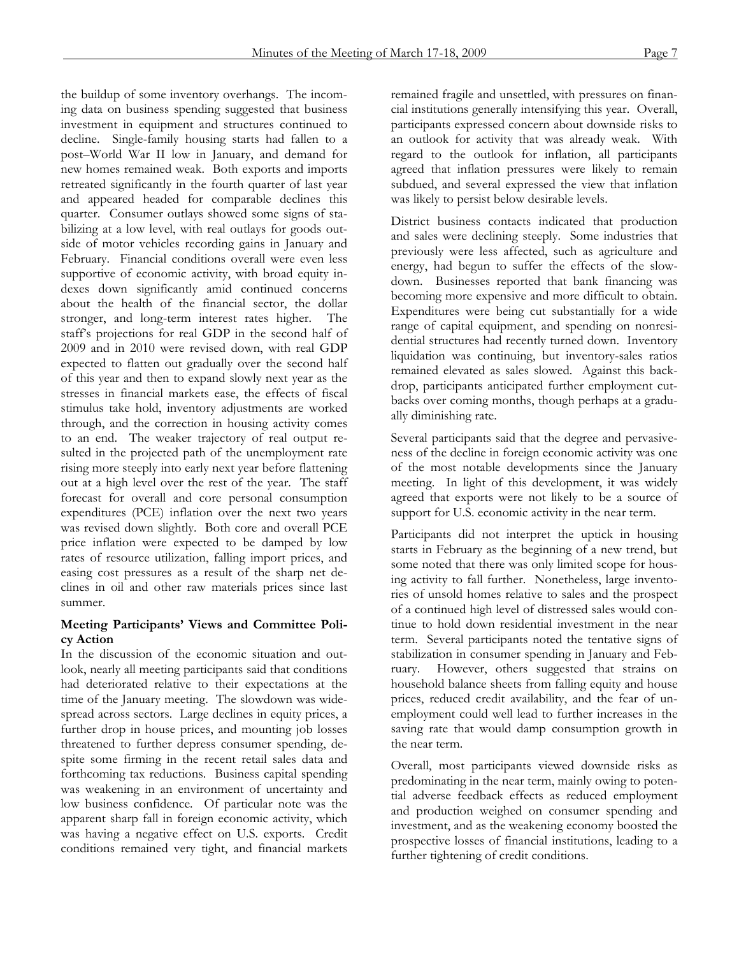the buildup of some inventory overhangs. The incoming data on business spending suggested that business investment in equipment and structures continued to decline. Single-family housing starts had fallen to a post–World War II low in January, and demand for new homes remained weak. Both exports and imports retreated significantly in the fourth quarter of last year and appeared headed for comparable declines this quarter. Consumer outlays showed some signs of stabilizing at a low level, with real outlays for goods outside of motor vehicles recording gains in January and February. Financial conditions overall were even less supportive of economic activity, with broad equity indexes down significantly amid continued concerns about the health of the financial sector, the dollar stronger, and long-term interest rates higher. The staff's projections for real GDP in the second half of 2009 and in 2010 were revised down, with real GDP expected to flatten out gradually over the second half of this year and then to expand slowly next year as the stresses in financial markets ease, the effects of fiscal stimulus take hold, inventory adjustments are worked through, and the correction in housing activity comes to an end. The weaker trajectory of real output resulted in the projected path of the unemployment rate rising more steeply into early next year before flattening out at a high level over the rest of the year. The staff forecast for overall and core personal consumption expenditures (PCE) inflation over the next two years was revised down slightly. Both core and overall PCE price inflation were expected to be damped by low rates of resource utilization, falling import prices, and easing cost pressures as a result of the sharp net declines in oil and other raw materials prices since last summer.

# **Meeting Participants' Views and Committee Policy Action**

In the discussion of the economic situation and outlook, nearly all meeting participants said that conditions had deteriorated relative to their expectations at the time of the January meeting. The slowdown was widespread across sectors. Large declines in equity prices, a further drop in house prices, and mounting job losses threatened to further depress consumer spending, despite some firming in the recent retail sales data and forthcoming tax reductions. Business capital spending was weakening in an environment of uncertainty and low business confidence. Of particular note was the apparent sharp fall in foreign economic activity, which was having a negative effect on U.S. exports. Credit conditions remained very tight, and financial markets

remained fragile and unsettled, with pressures on financial institutions generally intensifying this year. Overall, participants expressed concern about downside risks to an outlook for activity that was already weak. With regard to the outlook for inflation, all participants agreed that inflation pressures were likely to remain subdued, and several expressed the view that inflation was likely to persist below desirable levels.

District business contacts indicated that production and sales were declining steeply. Some industries that previously were less affected, such as agriculture and energy, had begun to suffer the effects of the slowdown. Businesses reported that bank financing was becoming more expensive and more difficult to obtain. Expenditures were being cut substantially for a wide range of capital equipment, and spending on nonresidential structures had recently turned down. Inventory liquidation was continuing, but inventory-sales ratios remained elevated as sales slowed. Against this backdrop, participants anticipated further employment cutbacks over coming months, though perhaps at a gradually diminishing rate.

Several participants said that the degree and pervasiveness of the decline in foreign economic activity was one of the most notable developments since the January meeting. In light of this development, it was widely agreed that exports were not likely to be a source of support for U.S. economic activity in the near term.

Participants did not interpret the uptick in housing starts in February as the beginning of a new trend, but some noted that there was only limited scope for housing activity to fall further. Nonetheless, large inventories of unsold homes relative to sales and the prospect of a continued high level of distressed sales would continue to hold down residential investment in the near term. Several participants noted the tentative signs of stabilization in consumer spending in January and February. However, others suggested that strains on household balance sheets from falling equity and house prices, reduced credit availability, and the fear of unemployment could well lead to further increases in the saving rate that would damp consumption growth in the near term.

Overall, most participants viewed downside risks as predominating in the near term, mainly owing to potential adverse feedback effects as reduced employment and production weighed on consumer spending and investment, and as the weakening economy boosted the prospective losses of financial institutions, leading to a further tightening of credit conditions.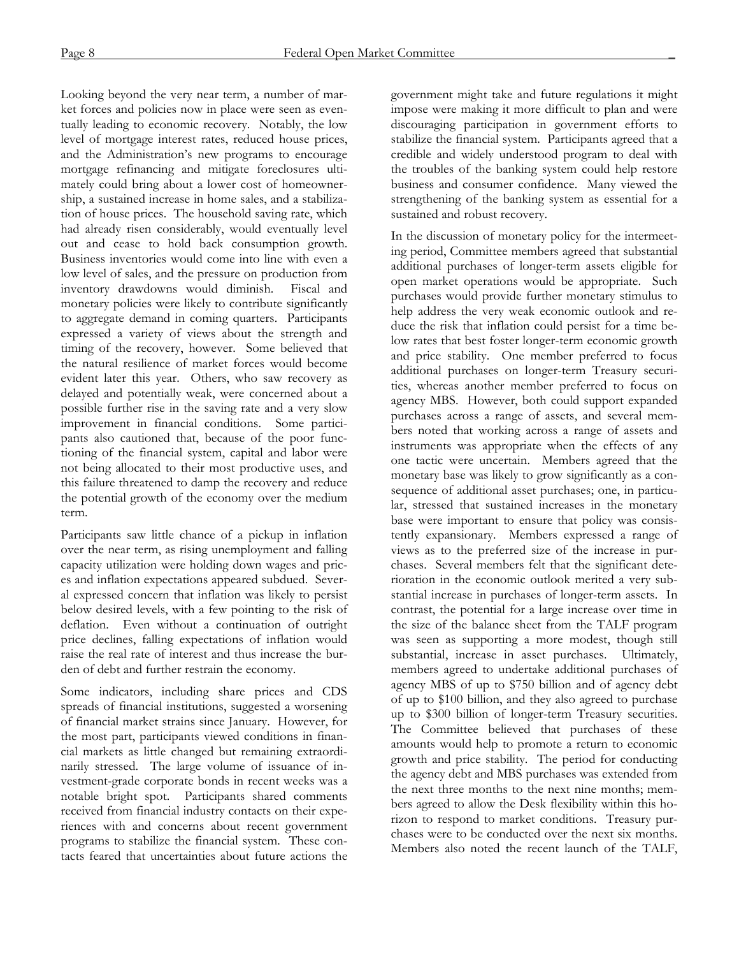Looking beyond the very near term, a number of market forces and policies now in place were seen as eventually leading to economic recovery. Notably, the low level of mortgage interest rates, reduced house prices, and the Administration's new programs to encourage mortgage refinancing and mitigate foreclosures ultimately could bring about a lower cost of homeownership, a sustained increase in home sales, and a stabilization of house prices. The household saving rate, which had already risen considerably, would eventually level out and cease to hold back consumption growth. Business inventories would come into line with even a low level of sales, and the pressure on production from inventory drawdowns would diminish. Fiscal and monetary policies were likely to contribute significantly to aggregate demand in coming quarters. Participants expressed a variety of views about the strength and timing of the recovery, however. Some believed that the natural resilience of market forces would become evident later this year. Others, who saw recovery as delayed and potentially weak, were concerned about a possible further rise in the saving rate and a very slow improvement in financial conditions. Some participants also cautioned that, because of the poor functioning of the financial system, capital and labor were not being allocated to their most productive uses, and this failure threatened to damp the recovery and reduce the potential growth of the economy over the medium term.

Participants saw little chance of a pickup in inflation over the near term, as rising unemployment and falling capacity utilization were holding down wages and prices and inflation expectations appeared subdued. Several expressed concern that inflation was likely to persist below desired levels, with a few pointing to the risk of deflation. Even without a continuation of outright price declines, falling expectations of inflation would raise the real rate of interest and thus increase the burden of debt and further restrain the economy.

Some indicators, including share prices and CDS spreads of financial institutions, suggested a worsening of financial market strains since January. However, for the most part, participants viewed conditions in financial markets as little changed but remaining extraordinarily stressed. The large volume of issuance of investment-grade corporate bonds in recent weeks was a notable bright spot. Participants shared comments received from financial industry contacts on their experiences with and concerns about recent government programs to stabilize the financial system. These contacts feared that uncertainties about future actions the government might take and future regulations it might impose were making it more difficult to plan and were discouraging participation in government efforts to stabilize the financial system. Participants agreed that a credible and widely understood program to deal with the troubles of the banking system could help restore business and consumer confidence. Many viewed the strengthening of the banking system as essential for a sustained and robust recovery.

In the discussion of monetary policy for the intermeeting period, Committee members agreed that substantial additional purchases of longer-term assets eligible for open market operations would be appropriate. Such purchases would provide further monetary stimulus to help address the very weak economic outlook and reduce the risk that inflation could persist for a time below rates that best foster longer-term economic growth and price stability. One member preferred to focus additional purchases on longer-term Treasury securities, whereas another member preferred to focus on agency MBS. However, both could support expanded purchases across a range of assets, and several members noted that working across a range of assets and instruments was appropriate when the effects of any one tactic were uncertain. Members agreed that the monetary base was likely to grow significantly as a consequence of additional asset purchases; one, in particular, stressed that sustained increases in the monetary base were important to ensure that policy was consistently expansionary. Members expressed a range of views as to the preferred size of the increase in purchases. Several members felt that the significant deterioration in the economic outlook merited a very substantial increase in purchases of longer-term assets. In contrast, the potential for a large increase over time in the size of the balance sheet from the TALF program was seen as supporting a more modest, though still substantial, increase in asset purchases. Ultimately, members agreed to undertake additional purchases of agency MBS of up to \$750 billion and of agency debt of up to \$100 billion, and they also agreed to purchase up to \$300 billion of longer-term Treasury securities. The Committee believed that purchases of these amounts would help to promote a return to economic growth and price stability. The period for conducting the agency debt and MBS purchases was extended from the next three months to the next nine months; members agreed to allow the Desk flexibility within this horizon to respond to market conditions. Treasury purchases were to be conducted over the next six months. Members also noted the recent launch of the TALF,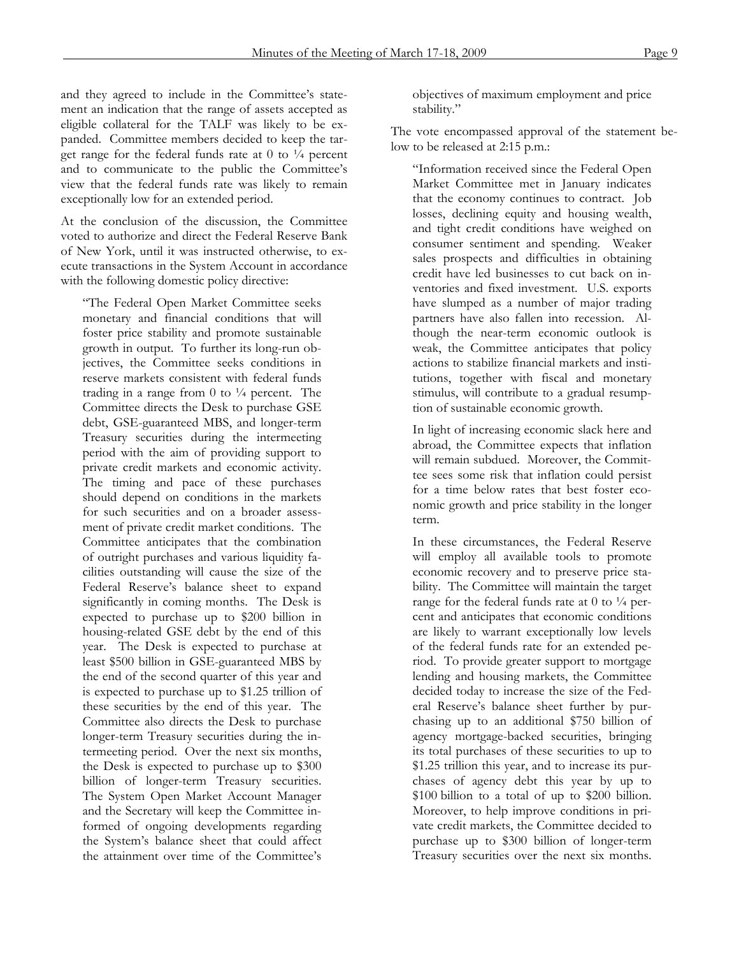and they agreed to include in the Committee's statement an indication that the range of assets accepted as eligible collateral for the TALF was likely to be expanded. Committee members decided to keep the target range for the federal funds rate at  $0$  to  $\frac{1}{4}$  percent and to communicate to the public the Committee's view that the federal funds rate was likely to remain exceptionally low for an extended period.

At the conclusion of the discussion, the Committee voted to authorize and direct the Federal Reserve Bank of New York, until it was instructed otherwise, to execute transactions in the System Account in accordance with the following domestic policy directive:

"The Federal Open Market Committee seeks monetary and financial conditions that will foster price stability and promote sustainable growth in output. To further its long-run objectives, the Committee seeks conditions in reserve markets consistent with federal funds trading in a range from 0 to  $\frac{1}{4}$  percent. The Committee directs the Desk to purchase GSE debt, GSE-guaranteed MBS, and longer-term Treasury securities during the intermeeting period with the aim of providing support to private credit markets and economic activity. The timing and pace of these purchases should depend on conditions in the markets for such securities and on a broader assessment of private credit market conditions. The Committee anticipates that the combination of outright purchases and various liquidity facilities outstanding will cause the size of the Federal Reserve's balance sheet to expand significantly in coming months. The Desk is expected to purchase up to \$200 billion in housing-related GSE debt by the end of this year. The Desk is expected to purchase at least \$500 billion in GSE-guaranteed MBS by the end of the second quarter of this year and is expected to purchase up to \$1.25 trillion of these securities by the end of this year. The Committee also directs the Desk to purchase longer-term Treasury securities during the intermeeting period. Over the next six months, the Desk is expected to purchase up to \$300 billion of longer-term Treasury securities. The System Open Market Account Manager and the Secretary will keep the Committee informed of ongoing developments regarding the System's balance sheet that could affect the attainment over time of the Committee's

objectives of maximum employment and price stability."

The vote encompassed approval of the statement below to be released at 2:15 p.m.:

"Information received since the Federal Open Market Committee met in January indicates that the economy continues to contract. Job losses, declining equity and housing wealth, and tight credit conditions have weighed on consumer sentiment and spending. Weaker sales prospects and difficulties in obtaining credit have led businesses to cut back on inventories and fixed investment. U.S. exports have slumped as a number of major trading partners have also fallen into recession. Although the near-term economic outlook is weak, the Committee anticipates that policy actions to stabilize financial markets and institutions, together with fiscal and monetary stimulus, will contribute to a gradual resumption of sustainable economic growth.

In light of increasing economic slack here and abroad, the Committee expects that inflation will remain subdued. Moreover, the Committee sees some risk that inflation could persist for a time below rates that best foster economic growth and price stability in the longer term.

In these circumstances, the Federal Reserve will employ all available tools to promote economic recovery and to preserve price stability. The Committee will maintain the target range for the federal funds rate at 0 to  $\frac{1}{4}$  percent and anticipates that economic conditions are likely to warrant exceptionally low levels of the federal funds rate for an extended period. To provide greater support to mortgage lending and housing markets, the Committee decided today to increase the size of the Federal Reserve's balance sheet further by purchasing up to an additional \$750 billion of agency mortgage-backed securities, bringing its total purchases of these securities to up to \$1.25 trillion this year, and to increase its purchases of agency debt this year by up to \$100 billion to a total of up to \$200 billion. Moreover, to help improve conditions in private credit markets, the Committee decided to purchase up to \$300 billion of longer-term Treasury securities over the next six months.